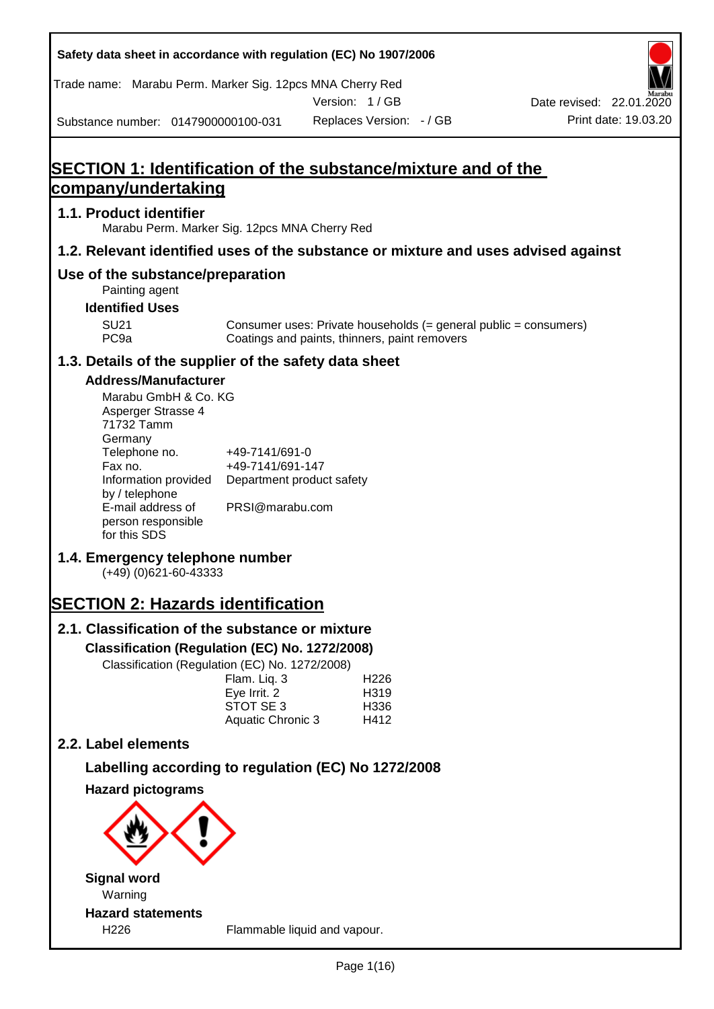| Safety data sheet in accordance with regulation (EC) No 1907/2006        |                                                                 |                                                                                                                   |                          |
|--------------------------------------------------------------------------|-----------------------------------------------------------------|-------------------------------------------------------------------------------------------------------------------|--------------------------|
| Trade name: Marabu Perm. Marker Sig. 12pcs MNA Cherry Red                |                                                                 | Version: 1/GB                                                                                                     | Date revised: 22.01.2020 |
| Substance number: 0147900000100-031                                      |                                                                 | Replaces Version: - / GB                                                                                          | Print date: 19.03.20     |
|                                                                          |                                                                 |                                                                                                                   |                          |
|                                                                          |                                                                 | SECTION 1: Identification of the substance/mixture and of the                                                     |                          |
| company/undertaking                                                      |                                                                 |                                                                                                                   |                          |
| 1.1. Product identifier<br>Marabu Perm. Marker Sig. 12pcs MNA Cherry Red |                                                                 |                                                                                                                   |                          |
|                                                                          |                                                                 | 1.2. Relevant identified uses of the substance or mixture and uses advised against                                |                          |
| Use of the substance/preparation<br>Painting agent                       |                                                                 |                                                                                                                   |                          |
| <b>Identified Uses</b>                                                   |                                                                 |                                                                                                                   |                          |
| <b>SU21</b><br>PC <sub>9a</sub>                                          |                                                                 | Consumer uses: Private households (= general public = consumers)<br>Coatings and paints, thinners, paint removers |                          |
| 1.3. Details of the supplier of the safety data sheet                    |                                                                 |                                                                                                                   |                          |
| <b>Address/Manufacturer</b>                                              |                                                                 |                                                                                                                   |                          |
| Marabu GmbH & Co. KG<br>Asperger Strasse 4<br>71732 Tamm<br>Germany      |                                                                 |                                                                                                                   |                          |
| Telephone no.<br>Fax no.<br>Information provided<br>by / telephone       | +49-7141/691-0<br>+49-7141/691-147<br>Department product safety |                                                                                                                   |                          |
| E-mail address of<br>person responsible<br>for this SDS                  | PRSI@marabu.com                                                 |                                                                                                                   |                          |
| 1.4. Emergency telephone number<br>$(+49)$ (0)621-60-43333               |                                                                 |                                                                                                                   |                          |
| <b>SECTION 2: Hazards identification</b>                                 |                                                                 |                                                                                                                   |                          |
| 2.1. Classification of the substance or mixture                          |                                                                 |                                                                                                                   |                          |
| Classification (Regulation (EC) No. 1272/2008)                           |                                                                 |                                                                                                                   |                          |
| Classification (Regulation (EC) No. 1272/2008)                           | Flam. Liq. 3                                                    | H <sub>226</sub>                                                                                                  |                          |
|                                                                          | Eye Irrit. 2                                                    | H319                                                                                                              |                          |
|                                                                          | STOT SE 3<br>Aquatic Chronic 3                                  | H336<br>H412                                                                                                      |                          |
| 2.2. Label elements                                                      |                                                                 |                                                                                                                   |                          |
|                                                                          |                                                                 | Labelling according to regulation (EC) No 1272/2008                                                               |                          |
| <b>Hazard pictograms</b>                                                 |                                                                 |                                                                                                                   |                          |
|                                                                          |                                                                 |                                                                                                                   |                          |
| <b>Signal word</b><br>Warning                                            |                                                                 |                                                                                                                   |                          |
| <b>Hazard statements</b>                                                 |                                                                 |                                                                                                                   |                          |
| H <sub>226</sub>                                                         |                                                                 | Flammable liquid and vapour.                                                                                      |                          |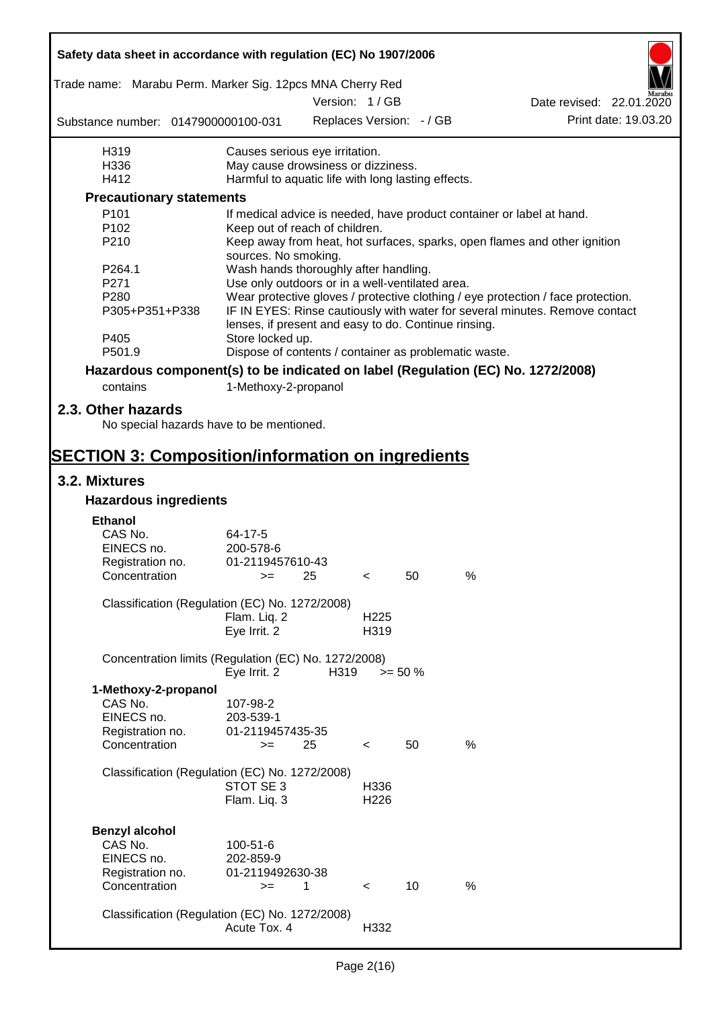| Safety data sheet in accordance with regulation (EC) No 1907/2006               |                                                                                                   |               |                          |                          |      |                                                                                  |                      |
|---------------------------------------------------------------------------------|---------------------------------------------------------------------------------------------------|---------------|--------------------------|--------------------------|------|----------------------------------------------------------------------------------|----------------------|
| Trade name: Marabu Perm. Marker Sig. 12pcs MNA Cherry Red                       |                                                                                                   |               |                          |                          |      |                                                                                  |                      |
|                                                                                 |                                                                                                   | Version: 1/GB |                          |                          |      | Date revised: 22.01.2020                                                         |                      |
| Substance number: 0147900000100-031                                             |                                                                                                   |               |                          | Replaces Version: - / GB |      |                                                                                  | Print date: 19.03.20 |
| H319                                                                            | Causes serious eye irritation.                                                                    |               |                          |                          |      |                                                                                  |                      |
| H336                                                                            | May cause drowsiness or dizziness.                                                                |               |                          |                          |      |                                                                                  |                      |
| H412                                                                            | Harmful to aquatic life with long lasting effects.                                                |               |                          |                          |      |                                                                                  |                      |
| <b>Precautionary statements</b>                                                 |                                                                                                   |               |                          |                          |      |                                                                                  |                      |
| P101                                                                            | If medical advice is needed, have product container or label at hand.                             |               |                          |                          |      |                                                                                  |                      |
| P <sub>102</sub>                                                                | Keep out of reach of children.                                                                    |               |                          |                          |      |                                                                                  |                      |
| P210                                                                            | Keep away from heat, hot surfaces, sparks, open flames and other ignition<br>sources. No smoking. |               |                          |                          |      |                                                                                  |                      |
| P264.1                                                                          | Wash hands thoroughly after handling.                                                             |               |                          |                          |      |                                                                                  |                      |
| P271                                                                            | Use only outdoors or in a well-ventilated area.                                                   |               |                          |                          |      |                                                                                  |                      |
| P280                                                                            |                                                                                                   |               |                          |                          |      | Wear protective gloves / protective clothing / eye protection / face protection. |                      |
| P305+P351+P338<br>P405                                                          | lenses, if present and easy to do. Continue rinsing.<br>Store locked up.                          |               |                          |                          |      | IF IN EYES: Rinse cautiously with water for several minutes. Remove contact      |                      |
| P501.9                                                                          | Dispose of contents / container as problematic waste.                                             |               |                          |                          |      |                                                                                  |                      |
| Hazardous component(s) to be indicated on label (Regulation (EC) No. 1272/2008) |                                                                                                   |               |                          |                          |      |                                                                                  |                      |
| contains                                                                        | 1-Methoxy-2-propanol                                                                              |               |                          |                          |      |                                                                                  |                      |
|                                                                                 |                                                                                                   |               |                          |                          |      |                                                                                  |                      |
| 2.3. Other hazards<br>No special hazards have to be mentioned.                  |                                                                                                   |               |                          |                          |      |                                                                                  |                      |
| <b>SECTION 3: Composition/information on ingredients</b>                        |                                                                                                   |               |                          |                          |      |                                                                                  |                      |
| 3.2. Mixtures                                                                   |                                                                                                   |               |                          |                          |      |                                                                                  |                      |
| <b>Hazardous ingredients</b>                                                    |                                                                                                   |               |                          |                          |      |                                                                                  |                      |
|                                                                                 |                                                                                                   |               |                          |                          |      |                                                                                  |                      |
| <b>Ethanol</b><br>CAS No.                                                       |                                                                                                   |               |                          |                          |      |                                                                                  |                      |
| EINECS no.                                                                      | 64-17-5<br>200-578-6                                                                              |               |                          |                          |      |                                                                                  |                      |
| Registration no.                                                                | 01-2119457610-43                                                                                  |               |                          |                          |      |                                                                                  |                      |
| Concentration                                                                   | $>=$                                                                                              | 25            |                          | 50                       | $\%$ |                                                                                  |                      |
|                                                                                 |                                                                                                   |               |                          |                          |      |                                                                                  |                      |
| Classification (Regulation (EC) No. 1272/2008)                                  |                                                                                                   |               |                          |                          |      |                                                                                  |                      |
|                                                                                 | Flam. Liq. 2<br>Eye Irrit. 2                                                                      |               | H <sub>225</sub><br>H319 |                          |      |                                                                                  |                      |
|                                                                                 |                                                                                                   |               |                          |                          |      |                                                                                  |                      |
| Concentration limits (Regulation (EC) No. 1272/2008)                            | Eye Irrit. 2                                                                                      | H319          |                          | $>= 50 %$                |      |                                                                                  |                      |
| 1-Methoxy-2-propanol                                                            |                                                                                                   |               |                          |                          |      |                                                                                  |                      |
| CAS No.                                                                         | 107-98-2                                                                                          |               |                          |                          |      |                                                                                  |                      |
| EINECS no.                                                                      | 203-539-1                                                                                         |               |                          |                          |      |                                                                                  |                      |
| Registration no.                                                                | 01-2119457435-35                                                                                  |               |                          |                          |      |                                                                                  |                      |
| Concentration                                                                   | $>=$                                                                                              | 25            | $\,<\,$                  | 50                       | %    |                                                                                  |                      |
|                                                                                 |                                                                                                   |               |                          |                          |      |                                                                                  |                      |
| Classification (Regulation (EC) No. 1272/2008)                                  | STOT SE 3                                                                                         |               | H336                     |                          |      |                                                                                  |                      |
|                                                                                 | Flam. Liq. 3                                                                                      |               | H <sub>226</sub>         |                          |      |                                                                                  |                      |
|                                                                                 |                                                                                                   |               |                          |                          |      |                                                                                  |                      |
| <b>Benzyl alcohol</b>                                                           |                                                                                                   |               |                          |                          |      |                                                                                  |                      |
| CAS No.                                                                         | 100-51-6                                                                                          |               |                          |                          |      |                                                                                  |                      |
| EINECS no.                                                                      | 202-859-9                                                                                         |               |                          |                          |      |                                                                                  |                      |
| Registration no.                                                                | 01-2119492630-38                                                                                  |               |                          |                          |      |                                                                                  |                      |
| Concentration                                                                   | $>=$                                                                                              | 1             | $\prec$                  | 10                       | %    |                                                                                  |                      |
|                                                                                 |                                                                                                   |               |                          |                          |      |                                                                                  |                      |
| Classification (Regulation (EC) No. 1272/2008)                                  |                                                                                                   |               |                          |                          |      |                                                                                  |                      |
|                                                                                 | Acute Tox. 4                                                                                      |               | H332                     |                          |      |                                                                                  |                      |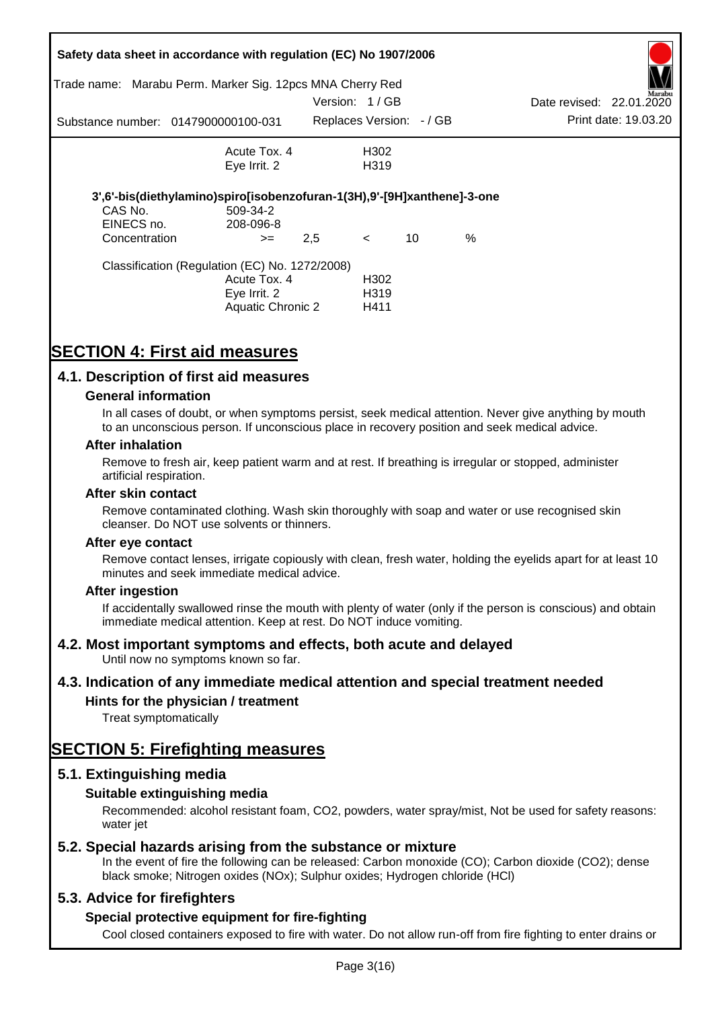|               | Safety data sheet in accordance with regulation (EC) No 1907/2006       |               |                          |    |      |                          |                      |
|---------------|-------------------------------------------------------------------------|---------------|--------------------------|----|------|--------------------------|----------------------|
| Trade name:   | Marabu Perm. Marker Sig. 12pcs MNA Cherry Red                           |               |                          |    |      |                          | Marabu               |
|               |                                                                         | Version: 1/GB |                          |    |      | Date revised: 22.01.2020 |                      |
|               | Substance number: 0147900000100-031                                     |               | Replaces Version: - / GB |    |      |                          | Print date: 19.03.20 |
|               | Acute Tox. 4                                                            |               | H302                     |    |      |                          |                      |
|               | Eye Irrit. 2                                                            |               | H <sub>3</sub> 19        |    |      |                          |                      |
|               | 3',6'-bis(diethylamino)spiro[isobenzofuran-1(3H),9'-[9H]xanthene]-3-one |               |                          |    |      |                          |                      |
| CAS No.       | 509-34-2                                                                |               |                          |    |      |                          |                      |
| EINECS no.    | 208-096-8                                                               |               |                          |    |      |                          |                      |
| Concentration | $>=$                                                                    | 2,5           | $\leq$                   | 10 | $\%$ |                          |                      |
|               | Classification (Regulation (EC) No. 1272/2008)                          |               |                          |    |      |                          |                      |
|               | Acute Tox. 4                                                            |               | H <sub>302</sub>         |    |      |                          |                      |
|               | Eve Irrit. 2                                                            |               | H319                     |    |      |                          |                      |
|               | Aquatic Chronic 2                                                       |               | H411                     |    |      |                          |                      |

# **SECTION 4: First aid measures**

### **4.1. Description of first aid measures**

#### **General information**

In all cases of doubt, or when symptoms persist, seek medical attention. Never give anything by mouth to an unconscious person. If unconscious place in recovery position and seek medical advice.

#### **After inhalation**

Remove to fresh air, keep patient warm and at rest. If breathing is irregular or stopped, administer artificial respiration.

#### **After skin contact**

Remove contaminated clothing. Wash skin thoroughly with soap and water or use recognised skin cleanser. Do NOT use solvents or thinners.

#### **After eye contact**

Remove contact lenses, irrigate copiously with clean, fresh water, holding the eyelids apart for at least 10 minutes and seek immediate medical advice.

#### **After ingestion**

If accidentally swallowed rinse the mouth with plenty of water (only if the person is conscious) and obtain immediate medical attention. Keep at rest. Do NOT induce vomiting.

### **4.2. Most important symptoms and effects, both acute and delayed**

Until now no symptoms known so far.

### **4.3. Indication of any immediate medical attention and special treatment needed**

### **Hints for the physician / treatment**

Treat symptomatically

## **SECTION 5: Firefighting measures**

### **5.1. Extinguishing media**

### **Suitable extinguishing media**

Recommended: alcohol resistant foam, CO2, powders, water spray/mist, Not be used for safety reasons: water *iet* 

### **5.2. Special hazards arising from the substance or mixture**

In the event of fire the following can be released: Carbon monoxide (CO); Carbon dioxide (CO2); dense black smoke; Nitrogen oxides (NOx); Sulphur oxides; Hydrogen chloride (HCl)

### **5.3. Advice for firefighters**

### **Special protective equipment for fire-fighting**

Cool closed containers exposed to fire with water. Do not allow run-off from fire fighting to enter drains or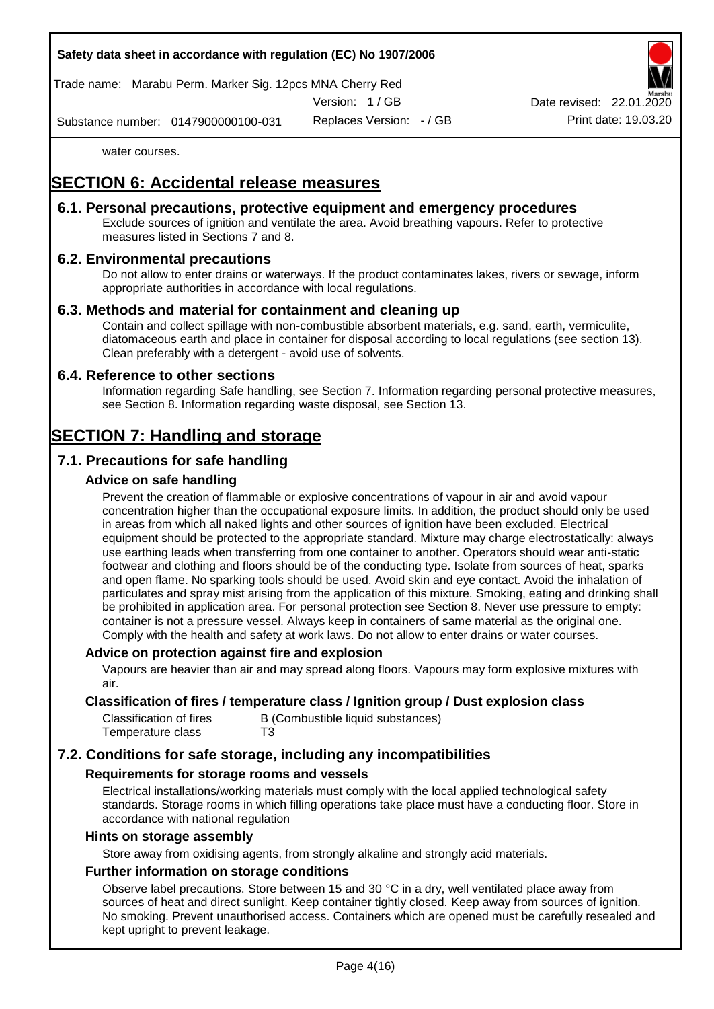Trade name: Marabu Perm. Marker Sig. 12pcs MNA Cherry Red

Version: 1 / GB

Replaces Version: - / GB Print date: 19.03.20 Date revised: 22.01.

Substance number: 0147900000100-031

water courses.

# **SECTION 6: Accidental release measures**

### **6.1. Personal precautions, protective equipment and emergency procedures**

Exclude sources of ignition and ventilate the area. Avoid breathing vapours. Refer to protective measures listed in Sections 7 and 8.

### **6.2. Environmental precautions**

Do not allow to enter drains or waterways. If the product contaminates lakes, rivers or sewage, inform appropriate authorities in accordance with local regulations.

### **6.3. Methods and material for containment and cleaning up**

Contain and collect spillage with non-combustible absorbent materials, e.g. sand, earth, vermiculite, diatomaceous earth and place in container for disposal according to local regulations (see section 13). Clean preferably with a detergent - avoid use of solvents.

### **6.4. Reference to other sections**

Information regarding Safe handling, see Section 7. Information regarding personal protective measures, see Section 8. Information regarding waste disposal, see Section 13.

# **SECTION 7: Handling and storage**

### **7.1. Precautions for safe handling**

### **Advice on safe handling**

Prevent the creation of flammable or explosive concentrations of vapour in air and avoid vapour concentration higher than the occupational exposure limits. In addition, the product should only be used in areas from which all naked lights and other sources of ignition have been excluded. Electrical equipment should be protected to the appropriate standard. Mixture may charge electrostatically: always use earthing leads when transferring from one container to another. Operators should wear anti-static footwear and clothing and floors should be of the conducting type. Isolate from sources of heat, sparks and open flame. No sparking tools should be used. Avoid skin and eye contact. Avoid the inhalation of particulates and spray mist arising from the application of this mixture. Smoking, eating and drinking shall be prohibited in application area. For personal protection see Section 8. Never use pressure to empty: container is not a pressure vessel. Always keep in containers of same material as the original one. Comply with the health and safety at work laws. Do not allow to enter drains or water courses.

### **Advice on protection against fire and explosion**

Vapours are heavier than air and may spread along floors. Vapours may form explosive mixtures with air.

### **Classification of fires / temperature class / Ignition group / Dust explosion class**

| Classification of fires | B (Combustible liquid substances) |
|-------------------------|-----------------------------------|
| Temperature class       | T3                                |

### **7.2. Conditions for safe storage, including any incompatibilities**

### **Requirements for storage rooms and vessels**

Electrical installations/working materials must comply with the local applied technological safety standards. Storage rooms in which filling operations take place must have a conducting floor. Store in accordance with national regulation

#### **Hints on storage assembly**

Store away from oxidising agents, from strongly alkaline and strongly acid materials.

### **Further information on storage conditions**

Observe label precautions. Store between 15 and 30 °C in a dry, well ventilated place away from sources of heat and direct sunlight. Keep container tightly closed. Keep away from sources of ignition. No smoking. Prevent unauthorised access. Containers which are opened must be carefully resealed and kept upright to prevent leakage.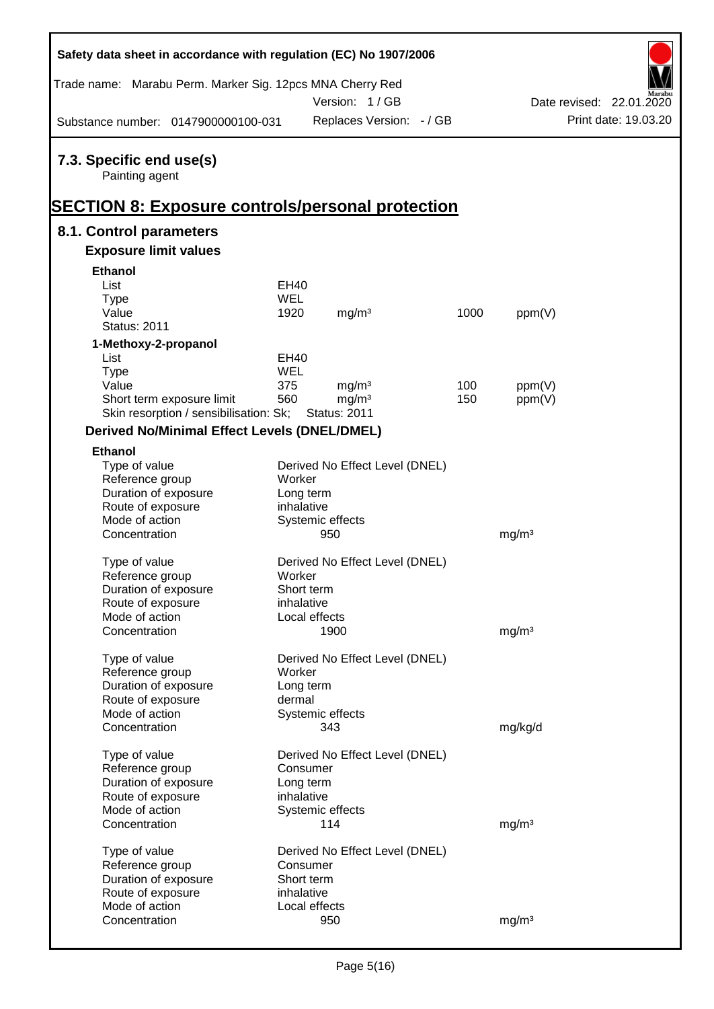| Safety data sheet in accordance with regulation (EC) No 1907/2006   |             |                                          |      |                   |                          |
|---------------------------------------------------------------------|-------------|------------------------------------------|------|-------------------|--------------------------|
| Trade name: Marabu Perm. Marker Sig. 12pcs MNA Cherry Red           |             |                                          |      |                   |                          |
|                                                                     |             | Version: 1/GB                            |      |                   | Date revised: 22.01.2020 |
| Substance number: 0147900000100-031                                 |             | Replaces Version: - / GB                 |      |                   | Print date: 19.03.20     |
| 7.3. Specific end use(s)<br>Painting agent                          |             |                                          |      |                   |                          |
| <b>SECTION 8: Exposure controls/personal protection</b>             |             |                                          |      |                   |                          |
| 8.1. Control parameters                                             |             |                                          |      |                   |                          |
| <b>Exposure limit values</b>                                        |             |                                          |      |                   |                          |
| <b>Ethanol</b>                                                      |             |                                          |      |                   |                          |
| List                                                                | <b>EH40</b> |                                          |      |                   |                          |
| <b>Type</b>                                                         | <b>WEL</b>  |                                          |      |                   |                          |
| Value                                                               | 1920        | mg/m <sup>3</sup>                        | 1000 | ppm(V)            |                          |
| <b>Status: 2011</b>                                                 |             |                                          |      |                   |                          |
| 1-Methoxy-2-propanol                                                |             |                                          |      |                   |                          |
| List                                                                | EH40        |                                          |      |                   |                          |
| <b>Type</b>                                                         | <b>WEL</b>  |                                          |      |                   |                          |
| Value                                                               | 375         | mg/m <sup>3</sup>                        | 100  | ppm(V)            |                          |
| Short term exposure limit<br>Skin resorption / sensibilisation: Sk; | 560         | mg/m <sup>3</sup><br><b>Status: 2011</b> | 150  | ppm(V)            |                          |
|                                                                     |             |                                          |      |                   |                          |
| <b>Derived No/Minimal Effect Levels (DNEL/DMEL)</b>                 |             |                                          |      |                   |                          |
| <b>Ethanol</b>                                                      |             |                                          |      |                   |                          |
| Type of value                                                       |             | Derived No Effect Level (DNEL)           |      |                   |                          |
| Reference group                                                     | Worker      |                                          |      |                   |                          |
| Duration of exposure                                                | Long term   |                                          |      |                   |                          |
| Route of exposure                                                   | inhalative  |                                          |      |                   |                          |
| Mode of action<br>Concentration                                     |             | Systemic effects                         |      |                   |                          |
|                                                                     |             | 950                                      |      | mg/m <sup>3</sup> |                          |
| Type of value                                                       |             | Derived No Effect Level (DNEL)           |      |                   |                          |
| Reference group                                                     | Worker      |                                          |      |                   |                          |
| Duration of exposure                                                | Short term  |                                          |      |                   |                          |
| Route of exposure                                                   | inhalative  |                                          |      |                   |                          |
| Mode of action                                                      |             | Local effects                            |      |                   |                          |
| Concentration                                                       |             | 1900                                     |      | mg/m <sup>3</sup> |                          |
|                                                                     |             |                                          |      |                   |                          |
| Type of value                                                       |             | Derived No Effect Level (DNEL)           |      |                   |                          |
| Reference group                                                     | Worker      |                                          |      |                   |                          |
| Duration of exposure                                                | Long term   |                                          |      |                   |                          |
| Route of exposure                                                   | dermal      |                                          |      |                   |                          |
| Mode of action                                                      |             | Systemic effects                         |      |                   |                          |
| Concentration                                                       |             | 343                                      |      | mg/kg/d           |                          |
| Type of value                                                       |             | Derived No Effect Level (DNEL)           |      |                   |                          |
| Reference group                                                     | Consumer    |                                          |      |                   |                          |
| Duration of exposure                                                | Long term   |                                          |      |                   |                          |
| Route of exposure                                                   | inhalative  |                                          |      |                   |                          |
| Mode of action                                                      |             | Systemic effects                         |      |                   |                          |
| Concentration                                                       |             | 114                                      |      | mg/m <sup>3</sup> |                          |
|                                                                     |             |                                          |      |                   |                          |
| Type of value                                                       |             | Derived No Effect Level (DNEL)           |      |                   |                          |
| Reference group                                                     | Consumer    |                                          |      |                   |                          |
| Duration of exposure                                                | Short term  |                                          |      |                   |                          |
| Route of exposure                                                   | inhalative  |                                          |      |                   |                          |
| Mode of action                                                      |             | Local effects                            |      |                   |                          |
| Concentration                                                       |             | 950                                      |      | mg/m <sup>3</sup> |                          |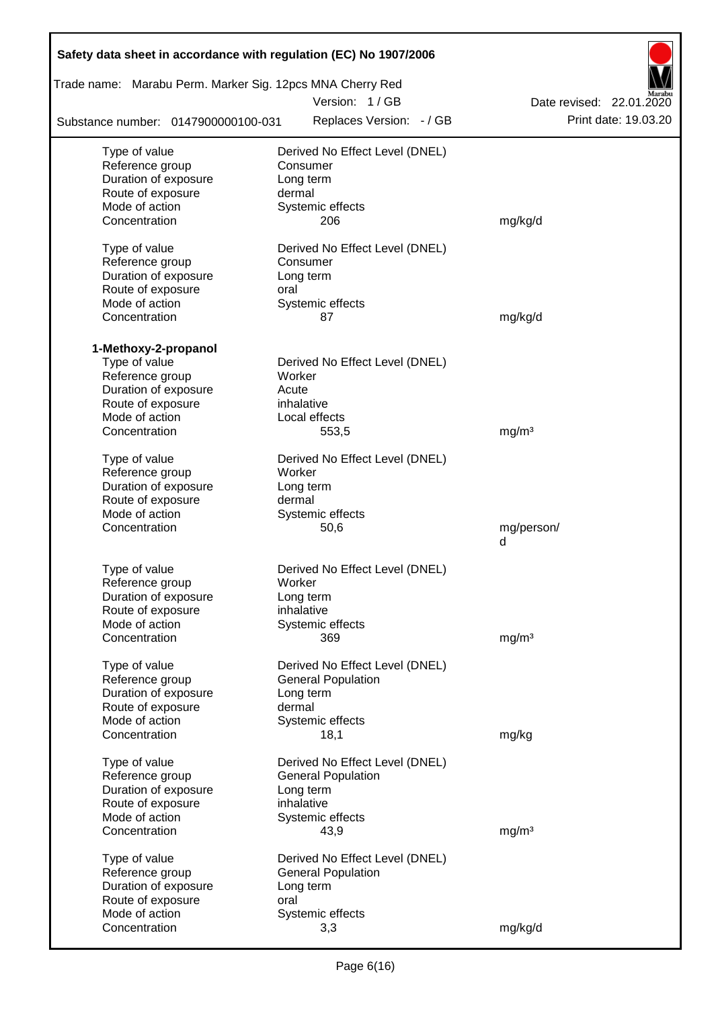| Safety data sheet in accordance with regulation (EC) No 1907/2006 |                                |                          |  |  |  |  |  |  |  |
|-------------------------------------------------------------------|--------------------------------|--------------------------|--|--|--|--|--|--|--|
| Trade name: Marabu Perm. Marker Sig. 12pcs MNA Cherry Red         |                                |                          |  |  |  |  |  |  |  |
|                                                                   | Version: 1/GB                  | Date revised: 22.01.2020 |  |  |  |  |  |  |  |
| Substance number: 0147900000100-031                               | Replaces Version: - / GB       | Print date: 19.03.20     |  |  |  |  |  |  |  |
| Type of value                                                     | Derived No Effect Level (DNEL) |                          |  |  |  |  |  |  |  |
| Reference group                                                   | Consumer                       |                          |  |  |  |  |  |  |  |
| Duration of exposure                                              | Long term                      |                          |  |  |  |  |  |  |  |
| Route of exposure                                                 | dermal                         |                          |  |  |  |  |  |  |  |
| Mode of action                                                    | Systemic effects               |                          |  |  |  |  |  |  |  |
| Concentration                                                     | 206                            | mg/kg/d                  |  |  |  |  |  |  |  |
| Type of value                                                     | Derived No Effect Level (DNEL) |                          |  |  |  |  |  |  |  |
| Reference group                                                   | Consumer                       |                          |  |  |  |  |  |  |  |
| Duration of exposure                                              | Long term                      |                          |  |  |  |  |  |  |  |
| Route of exposure                                                 | oral                           |                          |  |  |  |  |  |  |  |
| Mode of action                                                    | Systemic effects               |                          |  |  |  |  |  |  |  |
| Concentration                                                     | 87                             | mg/kg/d                  |  |  |  |  |  |  |  |
|                                                                   |                                |                          |  |  |  |  |  |  |  |
| 1-Methoxy-2-propanol                                              |                                |                          |  |  |  |  |  |  |  |
| Type of value                                                     | Derived No Effect Level (DNEL) |                          |  |  |  |  |  |  |  |
| Reference group                                                   | Worker                         |                          |  |  |  |  |  |  |  |
| Duration of exposure                                              | Acute                          |                          |  |  |  |  |  |  |  |
| Route of exposure                                                 | inhalative                     |                          |  |  |  |  |  |  |  |
| Mode of action                                                    | Local effects                  |                          |  |  |  |  |  |  |  |
| Concentration                                                     | 553,5                          | mg/m <sup>3</sup>        |  |  |  |  |  |  |  |
| Type of value                                                     | Derived No Effect Level (DNEL) |                          |  |  |  |  |  |  |  |
| Reference group                                                   | Worker                         |                          |  |  |  |  |  |  |  |
| Duration of exposure                                              | Long term                      |                          |  |  |  |  |  |  |  |
| Route of exposure                                                 | dermal                         |                          |  |  |  |  |  |  |  |
| Mode of action                                                    | Systemic effects               |                          |  |  |  |  |  |  |  |
| Concentration                                                     | 50,6                           | mg/person/               |  |  |  |  |  |  |  |
|                                                                   |                                | d                        |  |  |  |  |  |  |  |
| Type of value                                                     | Derived No Effect Level (DNEL) |                          |  |  |  |  |  |  |  |
| Reference group                                                   | Worker                         |                          |  |  |  |  |  |  |  |
| Duration of exposure                                              | Long term                      |                          |  |  |  |  |  |  |  |
| Route of exposure                                                 | inhalative                     |                          |  |  |  |  |  |  |  |
| Mode of action                                                    | Systemic effects               |                          |  |  |  |  |  |  |  |
| Concentration                                                     | 369                            | mg/m <sup>3</sup>        |  |  |  |  |  |  |  |
|                                                                   |                                |                          |  |  |  |  |  |  |  |
| Type of value                                                     | Derived No Effect Level (DNEL) |                          |  |  |  |  |  |  |  |
| Reference group                                                   | <b>General Population</b>      |                          |  |  |  |  |  |  |  |
| Duration of exposure<br>Route of exposure                         | Long term<br>dermal            |                          |  |  |  |  |  |  |  |
| Mode of action                                                    | Systemic effects               |                          |  |  |  |  |  |  |  |
| Concentration                                                     | 18,1                           | mg/kg                    |  |  |  |  |  |  |  |
|                                                                   |                                |                          |  |  |  |  |  |  |  |
| Type of value                                                     | Derived No Effect Level (DNEL) |                          |  |  |  |  |  |  |  |
| Reference group                                                   | <b>General Population</b>      |                          |  |  |  |  |  |  |  |
| Duration of exposure                                              | Long term                      |                          |  |  |  |  |  |  |  |
| Route of exposure                                                 | inhalative                     |                          |  |  |  |  |  |  |  |
| Mode of action                                                    | Systemic effects               |                          |  |  |  |  |  |  |  |
| Concentration                                                     | 43,9                           | mg/m <sup>3</sup>        |  |  |  |  |  |  |  |
| Type of value                                                     | Derived No Effect Level (DNEL) |                          |  |  |  |  |  |  |  |
| Reference group                                                   | <b>General Population</b>      |                          |  |  |  |  |  |  |  |
| Duration of exposure                                              | Long term                      |                          |  |  |  |  |  |  |  |
| Route of exposure                                                 | oral                           |                          |  |  |  |  |  |  |  |
| Mode of action                                                    | Systemic effects               |                          |  |  |  |  |  |  |  |
| Concentration                                                     | 3,3                            | mg/kg/d                  |  |  |  |  |  |  |  |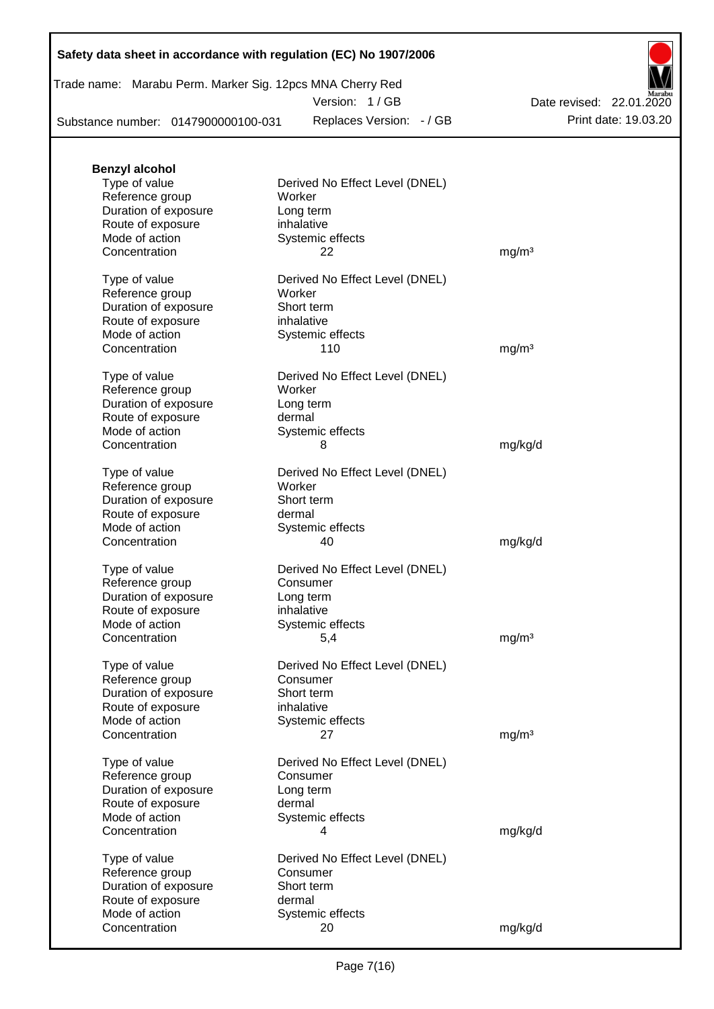Version: 1 / GB

Substance number: 0147900000100-031

Replaces Version: - / GB Print date: 19.03.20 Date revised: 22.01.2020

| <b>Benzyl alcohol</b> |                                |                   |
|-----------------------|--------------------------------|-------------------|
| Type of value         | Derived No Effect Level (DNEL) |                   |
| Reference group       | Worker                         |                   |
| Duration of exposure  | Long term                      |                   |
| Route of exposure     | inhalative                     |                   |
| Mode of action        | Systemic effects               |                   |
| Concentration         | 22                             | mg/m <sup>3</sup> |
|                       |                                |                   |
| Type of value         | Derived No Effect Level (DNEL) |                   |
| Reference group       | Worker                         |                   |
| Duration of exposure  | Short term                     |                   |
| Route of exposure     | inhalative                     |                   |
| Mode of action        | Systemic effects               |                   |
| Concentration         | 110                            | mg/m <sup>3</sup> |
|                       |                                |                   |
| Type of value         | Derived No Effect Level (DNEL) |                   |
| Reference group       | Worker                         |                   |
| Duration of exposure  | Long term                      |                   |
| Route of exposure     | dermal                         |                   |
| Mode of action        | Systemic effects               |                   |
| Concentration         | 8                              | mg/kg/d           |
|                       |                                |                   |
| Type of value         | Derived No Effect Level (DNEL) |                   |
| Reference group       | Worker                         |                   |
| Duration of exposure  | Short term                     |                   |
| Route of exposure     | dermal                         |                   |
| Mode of action        | Systemic effects               |                   |
| Concentration         | 40                             | mg/kg/d           |
|                       |                                |                   |
| Type of value         | Derived No Effect Level (DNEL) |                   |
| Reference group       | Consumer                       |                   |
| Duration of exposure  | Long term                      |                   |
| Route of exposure     | inhalative                     |                   |
| Mode of action        | Systemic effects               |                   |
| Concentration         | 5,4                            | mg/m <sup>3</sup> |
|                       |                                |                   |
| Type of value         | Derived No Effect Level (DNEL) |                   |
| Reference group       | Consumer                       |                   |
| Duration of exposure  | Short term                     |                   |
| Route of exposure     | inhalative                     |                   |
| Mode of action        | Systemic effects               |                   |
| Concentration         | 27                             | mg/m <sup>3</sup> |
|                       |                                |                   |
| Type of value         | Derived No Effect Level (DNEL) |                   |
| Reference group       | Consumer                       |                   |
| Duration of exposure  | Long term                      |                   |
| Route of exposure     | dermal                         |                   |
| Mode of action        | Systemic effects               |                   |
| Concentration         | 4                              | mg/kg/d           |
|                       |                                |                   |
| Type of value         | Derived No Effect Level (DNEL) |                   |
| Reference group       | Consumer                       |                   |
| Duration of exposure  | Short term                     |                   |
| Route of exposure     | dermal                         |                   |
| Mode of action        | Systemic effects               |                   |
| Concentration         | 20                             | mg/kg/d           |
|                       |                                |                   |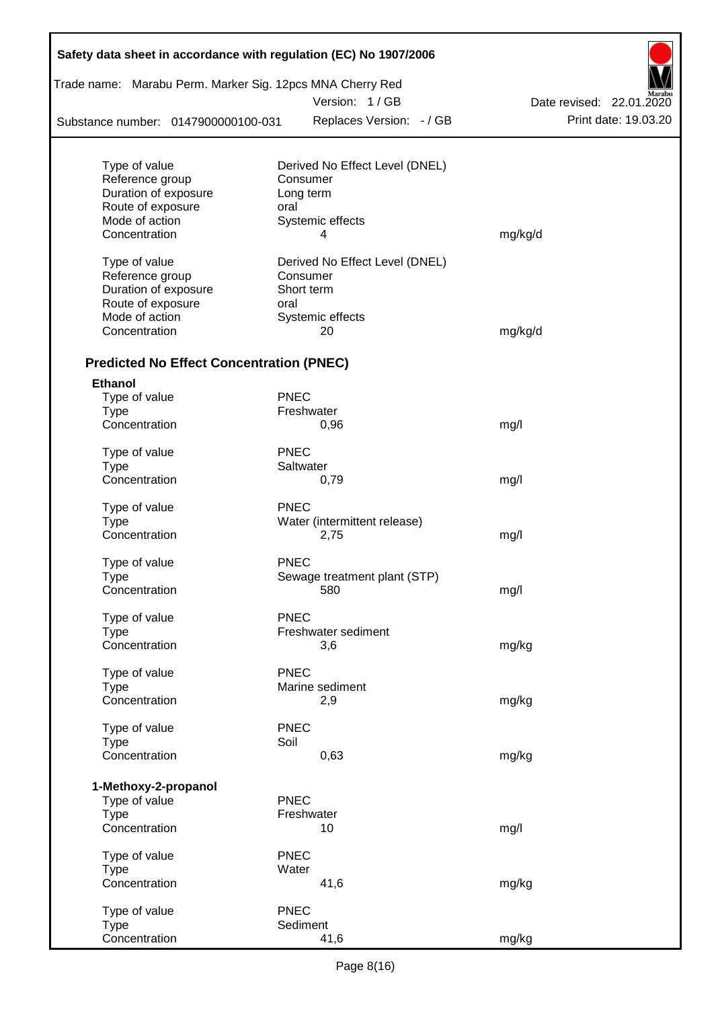| Trade name: Marabu Perm. Marker Sig. 12pcs MNA Cherry Red |             | Version: 1/GB                              |                          |  |  |
|-----------------------------------------------------------|-------------|--------------------------------------------|--------------------------|--|--|
|                                                           |             |                                            | Date revised: 22.01.2020 |  |  |
| Substance number: 0147900000100-031                       |             | Replaces Version: - / GB                   | Print date: 19.03.20     |  |  |
| Type of value                                             |             |                                            |                          |  |  |
| Reference group                                           |             | Derived No Effect Level (DNEL)<br>Consumer |                          |  |  |
| Duration of exposure                                      |             | Long term                                  |                          |  |  |
| Route of exposure                                         | oral        |                                            |                          |  |  |
| Mode of action                                            |             | Systemic effects                           |                          |  |  |
| Concentration                                             |             | 4                                          | mg/kg/d                  |  |  |
| Type of value                                             |             | Derived No Effect Level (DNEL)             |                          |  |  |
| Reference group                                           |             | Consumer                                   |                          |  |  |
| Duration of exposure                                      |             | Short term                                 |                          |  |  |
| Route of exposure                                         | oral        |                                            |                          |  |  |
| Mode of action                                            |             | Systemic effects                           |                          |  |  |
| Concentration                                             |             | 20                                         | mg/kg/d                  |  |  |
| <b>Predicted No Effect Concentration (PNEC)</b>           |             |                                            |                          |  |  |
| <b>Ethanol</b>                                            |             |                                            |                          |  |  |
| Type of value                                             | <b>PNEC</b> |                                            |                          |  |  |
| <b>Type</b>                                               |             | Freshwater                                 |                          |  |  |
| Concentration                                             |             | 0,96                                       | mg/l                     |  |  |
| Type of value                                             | <b>PNEC</b> |                                            |                          |  |  |
| <b>Type</b>                                               |             | Saltwater                                  |                          |  |  |
| Concentration                                             |             | 0,79                                       | mg/l                     |  |  |
| Type of value                                             | <b>PNEC</b> |                                            |                          |  |  |
| <b>Type</b>                                               |             | Water (intermittent release)               |                          |  |  |
| Concentration                                             |             | 2,75                                       | mg/l                     |  |  |
| Type of value                                             | <b>PNEC</b> |                                            |                          |  |  |
| Type                                                      |             | Sewage treatment plant (STP)               |                          |  |  |
| Concentration                                             |             | 580                                        | mg/l                     |  |  |
| Type of value                                             | <b>PNEC</b> |                                            |                          |  |  |
| <b>Type</b>                                               |             | Freshwater sediment                        |                          |  |  |
| Concentration                                             |             | 3,6                                        | mg/kg                    |  |  |
| Type of value                                             | <b>PNEC</b> |                                            |                          |  |  |
| <b>Type</b>                                               |             | Marine sediment                            |                          |  |  |
| Concentration                                             |             | 2,9                                        | mg/kg                    |  |  |
| Type of value                                             | <b>PNEC</b> |                                            |                          |  |  |
| <b>Type</b>                                               | Soil        |                                            |                          |  |  |
| Concentration                                             |             | 0,63                                       | mg/kg                    |  |  |
| 1-Methoxy-2-propanol                                      |             |                                            |                          |  |  |
| Type of value                                             | <b>PNEC</b> |                                            |                          |  |  |
| <b>Type</b>                                               |             | Freshwater                                 |                          |  |  |
| Concentration                                             |             | 10                                         | mg/l                     |  |  |
| Type of value                                             | <b>PNEC</b> |                                            |                          |  |  |
| <b>Type</b>                                               | Water       |                                            |                          |  |  |
| Concentration                                             |             | 41,6                                       | mg/kg                    |  |  |
| Type of value                                             | <b>PNEC</b> |                                            |                          |  |  |
| <b>Type</b>                                               |             | Sediment                                   |                          |  |  |
| Concentration                                             |             | 41,6                                       | mg/kg                    |  |  |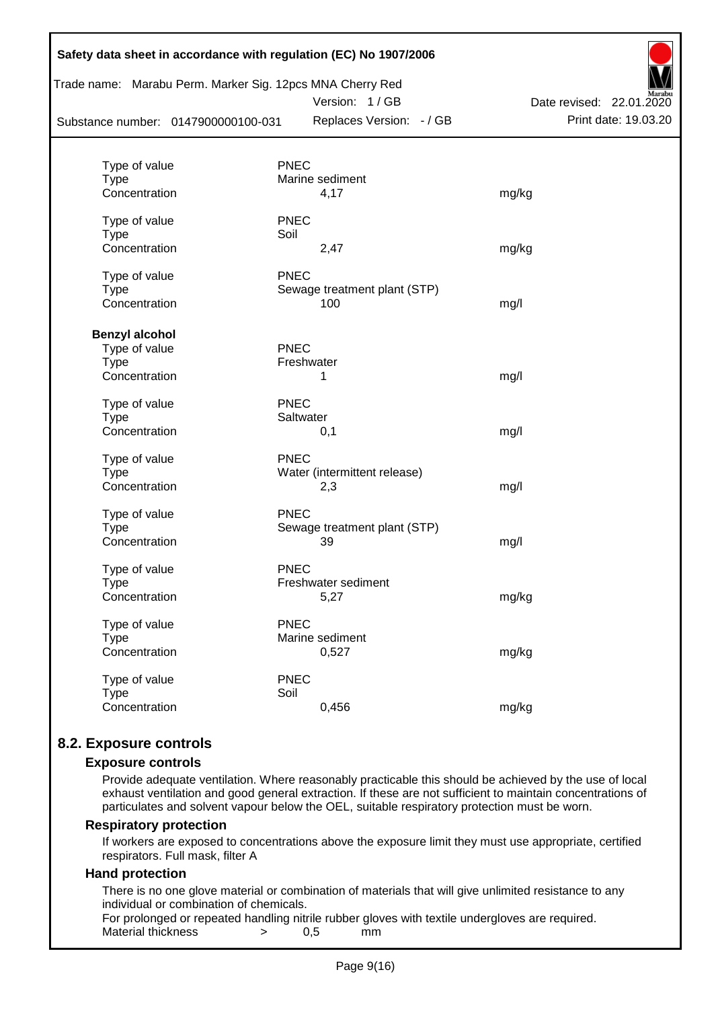|                                     | Trade name: Marabu Perm. Marker Sig. 12pcs MNA Cherry Red<br>Version: 1/GB | Marabu<br>Date revised: 22.01.2020 |
|-------------------------------------|----------------------------------------------------------------------------|------------------------------------|
| Substance number: 0147900000100-031 | Replaces Version: - / GB                                                   | Print date: 19.03.20               |
| Type of value                       | <b>PNEC</b>                                                                |                                    |
| <b>Type</b>                         | Marine sediment                                                            |                                    |
| Concentration                       | 4,17                                                                       | mg/kg                              |
| Type of value                       | <b>PNEC</b>                                                                |                                    |
| <b>Type</b>                         | Soil                                                                       |                                    |
| Concentration                       | 2,47                                                                       | mg/kg                              |
| Type of value                       | <b>PNEC</b>                                                                |                                    |
| <b>Type</b>                         | Sewage treatment plant (STP)                                               |                                    |
| Concentration                       | 100                                                                        | mg/l                               |
| <b>Benzyl alcohol</b>               |                                                                            |                                    |
| Type of value                       | <b>PNEC</b>                                                                |                                    |
| <b>Type</b>                         | Freshwater                                                                 |                                    |
| Concentration                       | 1                                                                          | mg/l                               |
| Type of value                       | <b>PNEC</b>                                                                |                                    |
| Type                                | Saltwater                                                                  |                                    |
| Concentration                       | 0,1                                                                        | mg/l                               |
| Type of value                       | <b>PNEC</b>                                                                |                                    |
| <b>Type</b>                         | Water (intermittent release)                                               |                                    |
| Concentration                       | 2,3                                                                        | mg/l                               |
| Type of value                       | PNEC                                                                       |                                    |
| <b>Type</b>                         | Sewage treatment plant (STP)                                               |                                    |
| Concentration                       | 39                                                                         | mg/l                               |
| Type of value                       | <b>PNEC</b>                                                                |                                    |
| Type                                | Freshwater sediment                                                        |                                    |
| Concentration                       | 5,27                                                                       | mg/kg                              |
| Type of value                       | <b>PNEC</b>                                                                |                                    |
| <b>Type</b>                         | Marine sediment                                                            |                                    |
| Concentration                       | 0,527                                                                      | mg/kg                              |
| Type of value                       | <b>PNEC</b>                                                                |                                    |
| <b>Type</b>                         | Soil                                                                       |                                    |
| Concentration                       | 0,456                                                                      | mg/kg                              |

### **8.2. Exposure controls**

#### **Exposure controls**

Provide adequate ventilation. Where reasonably practicable this should be achieved by the use of local exhaust ventilation and good general extraction. If these are not sufficient to maintain concentrations of particulates and solvent vapour below the OEL, suitable respiratory protection must be worn.

#### **Respiratory protection**

If workers are exposed to concentrations above the exposure limit they must use appropriate, certified respirators. Full mask, filter A

#### **Hand protection**

There is no one glove material or combination of materials that will give unlimited resistance to any individual or combination of chemicals.

For prolonged or repeated handling nitrile rubber gloves with textile undergloves are required. Material thickness  $\rightarrow$  0.5 mm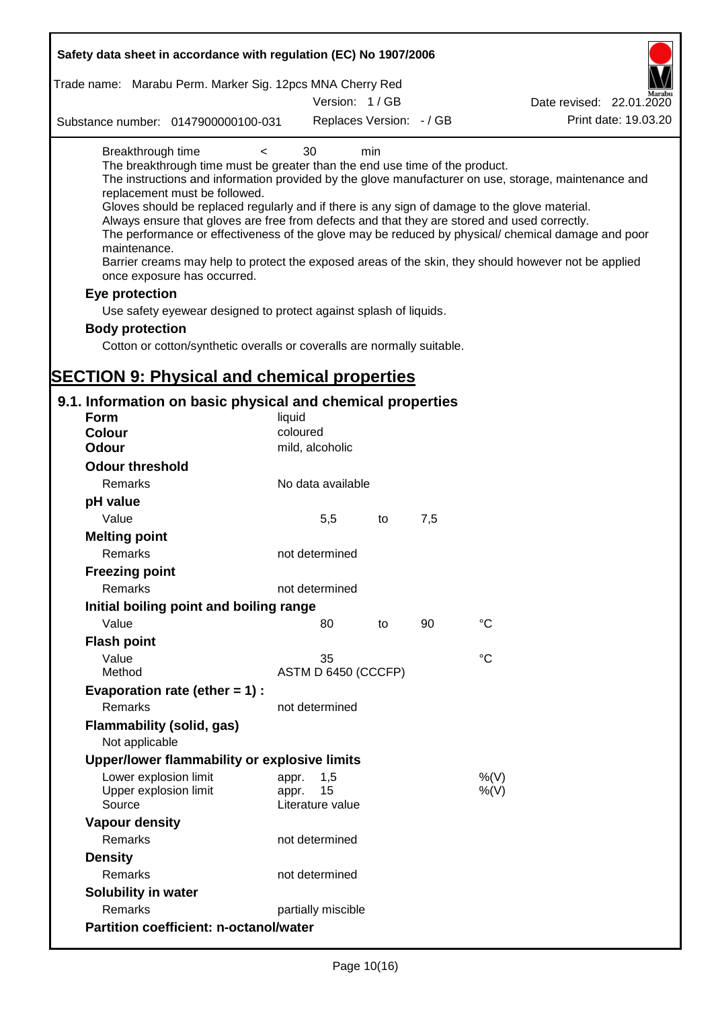| Safety data sheet in accordance with regulation (EC) No 1907/2006                                                                                                                                                                                                                                                                                                                            |                             |     |     |                                                                                                                                                                                                                                                                                                                    |
|----------------------------------------------------------------------------------------------------------------------------------------------------------------------------------------------------------------------------------------------------------------------------------------------------------------------------------------------------------------------------------------------|-----------------------------|-----|-----|--------------------------------------------------------------------------------------------------------------------------------------------------------------------------------------------------------------------------------------------------------------------------------------------------------------------|
| Trade name: Marabu Perm. Marker Sig. 12pcs MNA Cherry Red                                                                                                                                                                                                                                                                                                                                    |                             |     |     |                                                                                                                                                                                                                                                                                                                    |
|                                                                                                                                                                                                                                                                                                                                                                                              | Version: 1/GB               |     |     | Date revised: 22.01.2020                                                                                                                                                                                                                                                                                           |
| Substance number: 0147900000100-031                                                                                                                                                                                                                                                                                                                                                          | Replaces Version: - / GB    |     |     | Print date: 19.03.20                                                                                                                                                                                                                                                                                               |
| Breakthrough time<br>$\prec$<br>The breakthrough time must be greater than the end use time of the product.<br>replacement must be followed.<br>Gloves should be replaced regularly and if there is any sign of damage to the glove material.<br>Always ensure that gloves are free from defects and that they are stored and used correctly.<br>maintenance.<br>once exposure has occurred. | 30                          | min |     | The instructions and information provided by the glove manufacturer on use, storage, maintenance and<br>The performance or effectiveness of the glove may be reduced by physical/ chemical damage and poor<br>Barrier creams may help to protect the exposed areas of the skin, they should however not be applied |
| Eye protection                                                                                                                                                                                                                                                                                                                                                                               |                             |     |     |                                                                                                                                                                                                                                                                                                                    |
| Use safety eyewear designed to protect against splash of liquids.                                                                                                                                                                                                                                                                                                                            |                             |     |     |                                                                                                                                                                                                                                                                                                                    |
| <b>Body protection</b>                                                                                                                                                                                                                                                                                                                                                                       |                             |     |     |                                                                                                                                                                                                                                                                                                                    |
| Cotton or cotton/synthetic overalls or coveralls are normally suitable.                                                                                                                                                                                                                                                                                                                      |                             |     |     |                                                                                                                                                                                                                                                                                                                    |
|                                                                                                                                                                                                                                                                                                                                                                                              |                             |     |     |                                                                                                                                                                                                                                                                                                                    |
| <b>SECTION 9: Physical and chemical properties</b>                                                                                                                                                                                                                                                                                                                                           |                             |     |     |                                                                                                                                                                                                                                                                                                                    |
| 9.1. Information on basic physical and chemical properties                                                                                                                                                                                                                                                                                                                                   |                             |     |     |                                                                                                                                                                                                                                                                                                                    |
| <b>Form</b>                                                                                                                                                                                                                                                                                                                                                                                  | liquid                      |     |     |                                                                                                                                                                                                                                                                                                                    |
| Colour                                                                                                                                                                                                                                                                                                                                                                                       | coloured                    |     |     |                                                                                                                                                                                                                                                                                                                    |
| <b>Odour</b>                                                                                                                                                                                                                                                                                                                                                                                 | mild, alcoholic             |     |     |                                                                                                                                                                                                                                                                                                                    |
| <b>Odour threshold</b>                                                                                                                                                                                                                                                                                                                                                                       |                             |     |     |                                                                                                                                                                                                                                                                                                                    |
| Remarks                                                                                                                                                                                                                                                                                                                                                                                      | No data available           |     |     |                                                                                                                                                                                                                                                                                                                    |
| pH value                                                                                                                                                                                                                                                                                                                                                                                     |                             |     |     |                                                                                                                                                                                                                                                                                                                    |
| Value                                                                                                                                                                                                                                                                                                                                                                                        | 5,5                         | to  | 7,5 |                                                                                                                                                                                                                                                                                                                    |
| <b>Melting point</b><br>Remarks                                                                                                                                                                                                                                                                                                                                                              | not determined              |     |     |                                                                                                                                                                                                                                                                                                                    |
| <b>Freezing point</b>                                                                                                                                                                                                                                                                                                                                                                        |                             |     |     |                                                                                                                                                                                                                                                                                                                    |
| Remarks                                                                                                                                                                                                                                                                                                                                                                                      | not determined              |     |     |                                                                                                                                                                                                                                                                                                                    |
| Initial boiling point and boiling range                                                                                                                                                                                                                                                                                                                                                      |                             |     |     |                                                                                                                                                                                                                                                                                                                    |
| Value                                                                                                                                                                                                                                                                                                                                                                                        | 80                          | to  | 90  | $^{\circ}C$                                                                                                                                                                                                                                                                                                        |
| <b>Flash point</b>                                                                                                                                                                                                                                                                                                                                                                           |                             |     |     |                                                                                                                                                                                                                                                                                                                    |
| Value                                                                                                                                                                                                                                                                                                                                                                                        | 35                          |     |     | $\rm ^{\circ}C$                                                                                                                                                                                                                                                                                                    |
| Method                                                                                                                                                                                                                                                                                                                                                                                       | ASTM D 6450 (CCCFP)         |     |     |                                                                                                                                                                                                                                                                                                                    |
| Evaporation rate (ether $= 1$ ) :<br>Remarks                                                                                                                                                                                                                                                                                                                                                 | not determined              |     |     |                                                                                                                                                                                                                                                                                                                    |
| <b>Flammability (solid, gas)</b>                                                                                                                                                                                                                                                                                                                                                             |                             |     |     |                                                                                                                                                                                                                                                                                                                    |
| Not applicable                                                                                                                                                                                                                                                                                                                                                                               |                             |     |     |                                                                                                                                                                                                                                                                                                                    |
| Upper/lower flammability or explosive limits                                                                                                                                                                                                                                                                                                                                                 |                             |     |     |                                                                                                                                                                                                                                                                                                                    |
| Lower explosion limit<br>Upper explosion limit                                                                                                                                                                                                                                                                                                                                               | 1,5<br>appr.<br>15<br>appr. |     |     | %(V)<br>%(V)                                                                                                                                                                                                                                                                                                       |
| Source                                                                                                                                                                                                                                                                                                                                                                                       | Literature value            |     |     |                                                                                                                                                                                                                                                                                                                    |
| <b>Vapour density</b>                                                                                                                                                                                                                                                                                                                                                                        |                             |     |     |                                                                                                                                                                                                                                                                                                                    |
| Remarks                                                                                                                                                                                                                                                                                                                                                                                      | not determined              |     |     |                                                                                                                                                                                                                                                                                                                    |
| <b>Density</b>                                                                                                                                                                                                                                                                                                                                                                               |                             |     |     |                                                                                                                                                                                                                                                                                                                    |
| Remarks                                                                                                                                                                                                                                                                                                                                                                                      | not determined              |     |     |                                                                                                                                                                                                                                                                                                                    |
| Solubility in water                                                                                                                                                                                                                                                                                                                                                                          |                             |     |     |                                                                                                                                                                                                                                                                                                                    |
| Remarks                                                                                                                                                                                                                                                                                                                                                                                      | partially miscible          |     |     |                                                                                                                                                                                                                                                                                                                    |
| <b>Partition coefficient: n-octanol/water</b>                                                                                                                                                                                                                                                                                                                                                |                             |     |     |                                                                                                                                                                                                                                                                                                                    |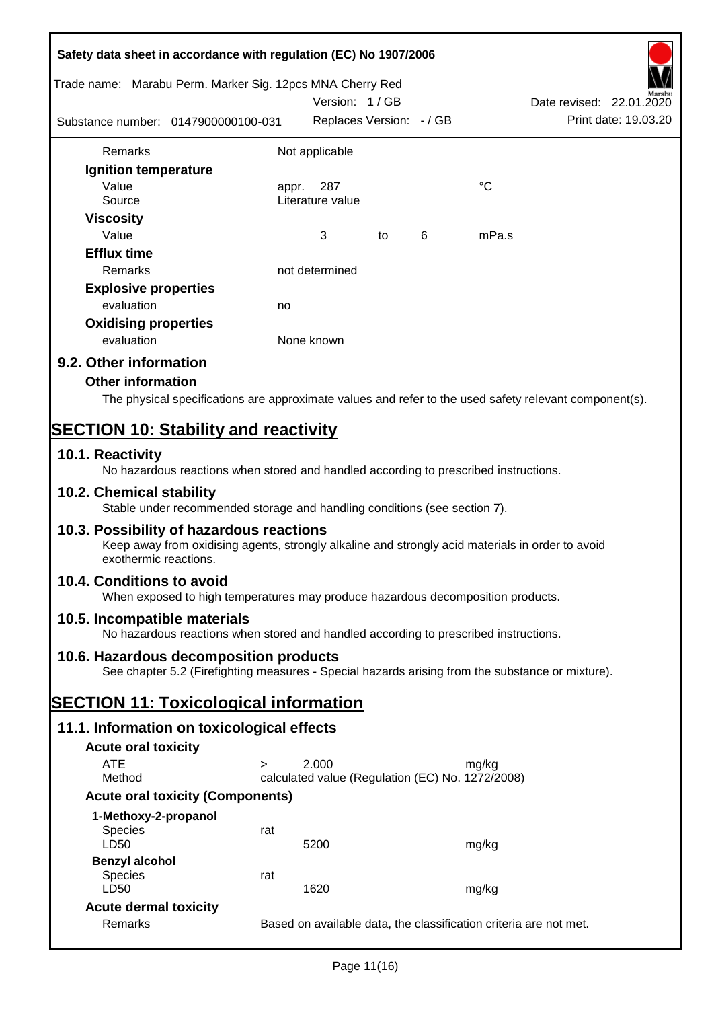|                              | Safety data sheet in accordance with regulation (EC) No 1907/2006                                                                            |       |                                                  |    |   |             |                                                                                                        |
|------------------------------|----------------------------------------------------------------------------------------------------------------------------------------------|-------|--------------------------------------------------|----|---|-------------|--------------------------------------------------------------------------------------------------------|
|                              | Trade name: Marabu Perm. Marker Sig. 12pcs MNA Cherry Red                                                                                    |       | Version: 1/GB                                    |    |   |             | Date revised: 22.01.2020                                                                               |
|                              | Substance number: 0147900000100-031                                                                                                          |       | Replaces Version: - / GB                         |    |   |             | Print date: 19.03.20                                                                                   |
| Remarks                      |                                                                                                                                              |       | Not applicable                                   |    |   |             |                                                                                                        |
| Ignition temperature         |                                                                                                                                              |       |                                                  |    |   |             |                                                                                                        |
| Value<br>Source              |                                                                                                                                              | appr. | 287<br>Literature value                          |    |   | $^{\circ}C$ |                                                                                                        |
| <b>Viscosity</b>             |                                                                                                                                              |       |                                                  |    |   |             |                                                                                                        |
| Value                        |                                                                                                                                              |       | 3                                                | to | 6 | mPa.s       |                                                                                                        |
| <b>Efflux time</b>           |                                                                                                                                              |       |                                                  |    |   |             |                                                                                                        |
| Remarks                      |                                                                                                                                              |       | not determined                                   |    |   |             |                                                                                                        |
| <b>Explosive properties</b>  |                                                                                                                                              |       |                                                  |    |   |             |                                                                                                        |
| evaluation                   |                                                                                                                                              | no    |                                                  |    |   |             |                                                                                                        |
| <b>Oxidising properties</b>  |                                                                                                                                              |       |                                                  |    |   |             |                                                                                                        |
| evaluation                   |                                                                                                                                              |       | None known                                       |    |   |             |                                                                                                        |
| 9.2. Other information       |                                                                                                                                              |       |                                                  |    |   |             |                                                                                                        |
| <b>Other information</b>     |                                                                                                                                              |       |                                                  |    |   |             |                                                                                                        |
|                              |                                                                                                                                              |       |                                                  |    |   |             | The physical specifications are approximate values and refer to the used safety relevant component(s). |
|                              | <b>SECTION 10: Stability and reactivity</b>                                                                                                  |       |                                                  |    |   |             |                                                                                                        |
| 10.1. Reactivity             | No hazardous reactions when stored and handled according to prescribed instructions.                                                         |       |                                                  |    |   |             |                                                                                                        |
| 10.2. Chemical stability     | Stable under recommended storage and handling conditions (see section 7).                                                                    |       |                                                  |    |   |             |                                                                                                        |
| exothermic reactions.        | 10.3. Possibility of hazardous reactions<br>Keep away from oxidising agents, strongly alkaline and strongly acid materials in order to avoid |       |                                                  |    |   |             |                                                                                                        |
| 10.4. Conditions to avoid    | When exposed to high temperatures may produce hazardous decomposition products.                                                              |       |                                                  |    |   |             |                                                                                                        |
| 10.5. Incompatible materials | No hazardous reactions when stored and handled according to prescribed instructions.                                                         |       |                                                  |    |   |             |                                                                                                        |
|                              | 10.6. Hazardous decomposition products<br>See chapter 5.2 (Firefighting measures - Special hazards arising from the substance or mixture).   |       |                                                  |    |   |             |                                                                                                        |
|                              | <b>SECTION 11: Toxicological information</b>                                                                                                 |       |                                                  |    |   |             |                                                                                                        |
|                              | 11.1. Information on toxicological effects                                                                                                   |       |                                                  |    |   |             |                                                                                                        |
| <b>Acute oral toxicity</b>   |                                                                                                                                              |       |                                                  |    |   |             |                                                                                                        |
| <b>ATE</b>                   | $\geq$                                                                                                                                       |       | 2.000                                            |    |   | mg/kg       |                                                                                                        |
| Method                       |                                                                                                                                              |       | calculated value (Regulation (EC) No. 1272/2008) |    |   |             |                                                                                                        |
|                              | <b>Acute oral toxicity (Components)</b>                                                                                                      |       |                                                  |    |   |             |                                                                                                        |
| 1-Methoxy-2-propanol         |                                                                                                                                              |       |                                                  |    |   |             |                                                                                                        |
| <b>Species</b>               | rat                                                                                                                                          |       |                                                  |    |   |             |                                                                                                        |
| LD50                         |                                                                                                                                              |       | 5200                                             |    |   | mg/kg       |                                                                                                        |
| <b>Benzyl alcohol</b>        |                                                                                                                                              |       |                                                  |    |   |             |                                                                                                        |
| <b>Species</b><br>LD50       | rat                                                                                                                                          |       | 1620                                             |    |   | mg/kg       |                                                                                                        |
| <b>Acute dermal toxicity</b> |                                                                                                                                              |       |                                                  |    |   |             |                                                                                                        |
| Remarks                      |                                                                                                                                              |       |                                                  |    |   |             | Based on available data, the classification criteria are not met.                                      |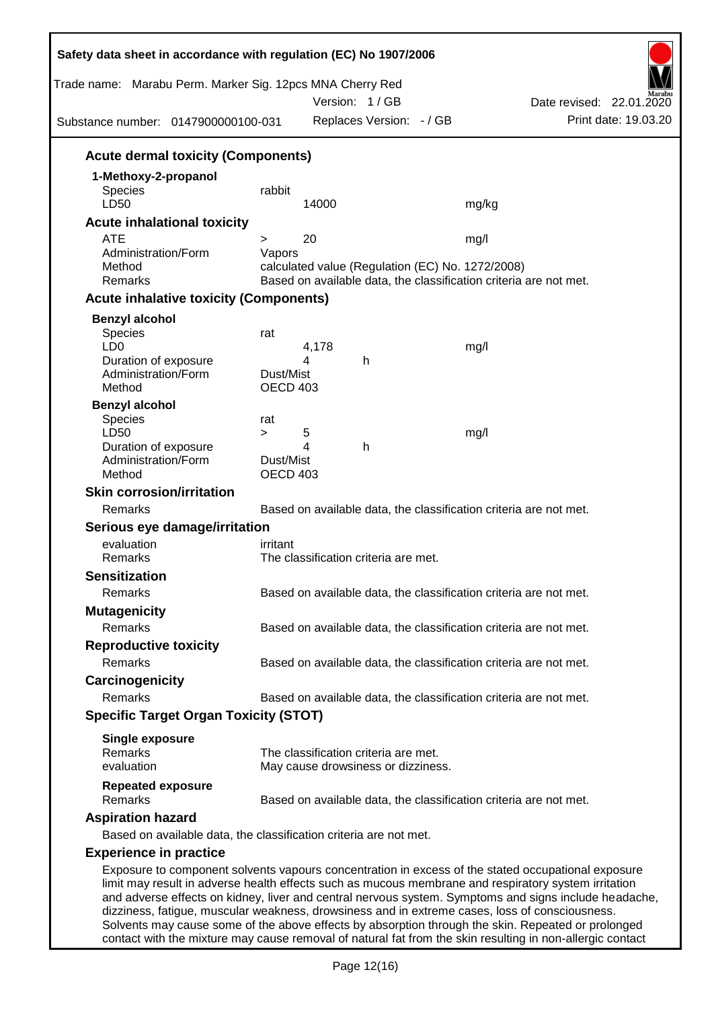| Trade name: Marabu Perm. Marker Sig. 12pcs MNA Cherry Red<br>Substance number: 0147900000100-031 |                                     |            | Version: 1/GB<br>Replaces Version: - / GB                                  | Date revised: 22.01.2020<br>Print date: 19.03.20                                                                                                                                                                                                                                                                                                                                                                      |
|--------------------------------------------------------------------------------------------------|-------------------------------------|------------|----------------------------------------------------------------------------|-----------------------------------------------------------------------------------------------------------------------------------------------------------------------------------------------------------------------------------------------------------------------------------------------------------------------------------------------------------------------------------------------------------------------|
| <b>Acute dermal toxicity (Components)</b>                                                        |                                     |            |                                                                            |                                                                                                                                                                                                                                                                                                                                                                                                                       |
| 1-Methoxy-2-propanol<br>Species<br>LD50                                                          | rabbit                              | 14000      |                                                                            | mg/kg                                                                                                                                                                                                                                                                                                                                                                                                                 |
| <b>Acute inhalational toxicity</b>                                                               |                                     |            |                                                                            |                                                                                                                                                                                                                                                                                                                                                                                                                       |
| <b>ATE</b><br>Administration/Form<br>Method<br>Remarks                                           | $\geq$<br>Vapors                    | 20         | calculated value (Regulation (EC) No. 1272/2008)                           | mg/l<br>Based on available data, the classification criteria are not met.                                                                                                                                                                                                                                                                                                                                             |
| <b>Acute inhalative toxicity (Components)</b>                                                    |                                     |            |                                                                            |                                                                                                                                                                                                                                                                                                                                                                                                                       |
| <b>Benzyl alcohol</b>                                                                            |                                     |            |                                                                            |                                                                                                                                                                                                                                                                                                                                                                                                                       |
| <b>Species</b><br>LD <sub>0</sub><br>Duration of exposure<br>Administration/Form<br>Method       | rat<br>Dust/Mist<br><b>OECD 403</b> | 4,178<br>4 | h                                                                          | mg/l                                                                                                                                                                                                                                                                                                                                                                                                                  |
| <b>Benzyl alcohol</b>                                                                            |                                     |            |                                                                            |                                                                                                                                                                                                                                                                                                                                                                                                                       |
| <b>Species</b><br>LD50<br>Duration of exposure<br>Administration/Form                            | rat<br>$\geq$<br>Dust/Mist          | 5<br>4     | h                                                                          | mg/l                                                                                                                                                                                                                                                                                                                                                                                                                  |
| Method                                                                                           | <b>OECD 403</b>                     |            |                                                                            |                                                                                                                                                                                                                                                                                                                                                                                                                       |
| <b>Skin corrosion/irritation</b><br>Remarks                                                      |                                     |            |                                                                            | Based on available data, the classification criteria are not met.                                                                                                                                                                                                                                                                                                                                                     |
| Serious eye damage/irritation                                                                    |                                     |            |                                                                            |                                                                                                                                                                                                                                                                                                                                                                                                                       |
| evaluation                                                                                       | irritant                            |            |                                                                            |                                                                                                                                                                                                                                                                                                                                                                                                                       |
| Remarks                                                                                          |                                     |            | The classification criteria are met.                                       |                                                                                                                                                                                                                                                                                                                                                                                                                       |
| <b>Sensitization</b>                                                                             |                                     |            |                                                                            |                                                                                                                                                                                                                                                                                                                                                                                                                       |
| Remarks                                                                                          |                                     |            |                                                                            | Based on available data, the classification criteria are not met.                                                                                                                                                                                                                                                                                                                                                     |
| <b>Mutagenicity</b>                                                                              |                                     |            |                                                                            |                                                                                                                                                                                                                                                                                                                                                                                                                       |
| Remarks                                                                                          |                                     |            |                                                                            | Based on available data, the classification criteria are not met.                                                                                                                                                                                                                                                                                                                                                     |
| <b>Reproductive toxicity</b>                                                                     |                                     |            |                                                                            |                                                                                                                                                                                                                                                                                                                                                                                                                       |
| Remarks                                                                                          |                                     |            |                                                                            | Based on available data, the classification criteria are not met.                                                                                                                                                                                                                                                                                                                                                     |
| Carcinogenicity<br>Remarks                                                                       |                                     |            |                                                                            |                                                                                                                                                                                                                                                                                                                                                                                                                       |
|                                                                                                  |                                     |            |                                                                            | Based on available data, the classification criteria are not met.                                                                                                                                                                                                                                                                                                                                                     |
| <b>Specific Target Organ Toxicity (STOT)</b>                                                     |                                     |            |                                                                            |                                                                                                                                                                                                                                                                                                                                                                                                                       |
| <b>Single exposure</b><br>Remarks<br>evaluation                                                  |                                     |            | The classification criteria are met.<br>May cause drowsiness or dizziness. |                                                                                                                                                                                                                                                                                                                                                                                                                       |
| <b>Repeated exposure</b><br>Remarks                                                              |                                     |            |                                                                            | Based on available data, the classification criteria are not met.                                                                                                                                                                                                                                                                                                                                                     |
| <b>Aspiration hazard</b><br>Based on available data, the classification criteria are not met.    |                                     |            |                                                                            |                                                                                                                                                                                                                                                                                                                                                                                                                       |
| <b>Experience in practice</b>                                                                    |                                     |            |                                                                            |                                                                                                                                                                                                                                                                                                                                                                                                                       |
|                                                                                                  |                                     |            |                                                                            | Exposure to component solvents vapours concentration in excess of the stated occupational exposure<br>limit may result in adverse health effects such as mucous membrane and respiratory system irritation<br>and adverse effects on kidney, liver and central nervous system. Symptoms and signs include headache,<br>dizziness, fatigue, muscular weakness, drowsiness and in extreme cases, loss of consciousness. |

Page 12(16)

Solvents may cause some of the above effects by absorption through the skin. Repeated or prolonged contact with the mixture may cause removal of natural fat from the skin resulting in non-allergic contact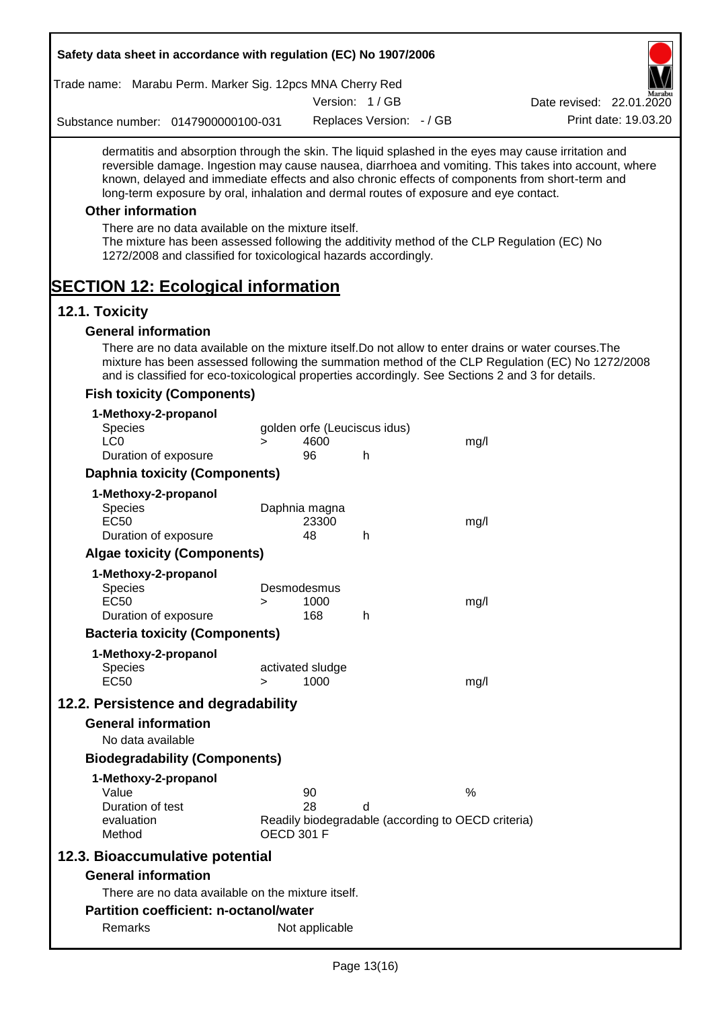|                          |                   | Safety data sheet in accordance with regulation (EC) No 1907/2006                                                     |                   |                              |                          |                                                                                                   |                                                                                                                                                                                                                                                                                                                  |
|--------------------------|-------------------|-----------------------------------------------------------------------------------------------------------------------|-------------------|------------------------------|--------------------------|---------------------------------------------------------------------------------------------------|------------------------------------------------------------------------------------------------------------------------------------------------------------------------------------------------------------------------------------------------------------------------------------------------------------------|
|                          |                   | Trade name: Marabu Perm. Marker Sig. 12pcs MNA Cherry Red                                                             |                   |                              |                          |                                                                                                   |                                                                                                                                                                                                                                                                                                                  |
|                          |                   |                                                                                                                       |                   |                              | Version: 1/GB            |                                                                                                   | Date revised: 22.01.2020                                                                                                                                                                                                                                                                                         |
|                          |                   | Substance number: 0147900000100-031                                                                                   |                   |                              | Replaces Version: - / GB |                                                                                                   | Print date: 19.03.20                                                                                                                                                                                                                                                                                             |
|                          |                   |                                                                                                                       |                   |                              |                          | long-term exposure by oral, inhalation and dermal routes of exposure and eye contact.             | dermatitis and absorption through the skin. The liquid splashed in the eyes may cause irritation and<br>reversible damage. Ingestion may cause nausea, diarrhoea and vomiting. This takes into account, where<br>known, delayed and immediate effects and also chronic effects of components from short-term and |
| <b>Other information</b> |                   |                                                                                                                       |                   |                              |                          |                                                                                                   |                                                                                                                                                                                                                                                                                                                  |
|                          |                   | There are no data available on the mixture itself.<br>1272/2008 and classified for toxicological hazards accordingly. |                   |                              |                          | The mixture has been assessed following the additivity method of the CLP Regulation (EC) No       |                                                                                                                                                                                                                                                                                                                  |
| 12.1. Toxicity           |                   | <b>SECTION 12: Ecological information</b>                                                                             |                   |                              |                          |                                                                                                   |                                                                                                                                                                                                                                                                                                                  |
|                          |                   |                                                                                                                       |                   |                              |                          |                                                                                                   |                                                                                                                                                                                                                                                                                                                  |
|                          |                   | <b>General information</b>                                                                                            |                   |                              |                          |                                                                                                   | There are no data available on the mixture itself. Do not allow to enter drains or water courses. The                                                                                                                                                                                                            |
|                          |                   |                                                                                                                       |                   |                              |                          | and is classified for eco-toxicological properties accordingly. See Sections 2 and 3 for details. | mixture has been assessed following the summation method of the CLP Regulation (EC) No 1272/2008                                                                                                                                                                                                                 |
|                          |                   | <b>Fish toxicity (Components)</b>                                                                                     |                   |                              |                          |                                                                                                   |                                                                                                                                                                                                                                                                                                                  |
|                          |                   | 1-Methoxy-2-propanol                                                                                                  |                   |                              |                          |                                                                                                   |                                                                                                                                                                                                                                                                                                                  |
| <b>Species</b>           |                   |                                                                                                                       |                   | golden orfe (Leuciscus idus) |                          |                                                                                                   |                                                                                                                                                                                                                                                                                                                  |
| LC <sub>0</sub>          |                   |                                                                                                                       | $\geq$            | 4600<br>96                   |                          | mg/l                                                                                              |                                                                                                                                                                                                                                                                                                                  |
|                          |                   | Duration of exposure                                                                                                  |                   |                              | h                        |                                                                                                   |                                                                                                                                                                                                                                                                                                                  |
|                          |                   | <b>Daphnia toxicity (Components)</b>                                                                                  |                   |                              |                          |                                                                                                   |                                                                                                                                                                                                                                                                                                                  |
| <b>Species</b>           |                   | 1-Methoxy-2-propanol                                                                                                  |                   | Daphnia magna                |                          |                                                                                                   |                                                                                                                                                                                                                                                                                                                  |
| <b>EC50</b>              |                   |                                                                                                                       |                   | 23300                        |                          | mg/l                                                                                              |                                                                                                                                                                                                                                                                                                                  |
|                          |                   | Duration of exposure                                                                                                  |                   | 48                           | h                        |                                                                                                   |                                                                                                                                                                                                                                                                                                                  |
|                          |                   | <b>Algae toxicity (Components)</b>                                                                                    |                   |                              |                          |                                                                                                   |                                                                                                                                                                                                                                                                                                                  |
|                          |                   | 1-Methoxy-2-propanol                                                                                                  |                   |                              |                          |                                                                                                   |                                                                                                                                                                                                                                                                                                                  |
| <b>Species</b>           |                   |                                                                                                                       |                   | Desmodesmus                  |                          |                                                                                                   |                                                                                                                                                                                                                                                                                                                  |
| EC50                     |                   | Duration of exposure                                                                                                  | >                 | 1000<br>168                  | h                        | mg/l                                                                                              |                                                                                                                                                                                                                                                                                                                  |
|                          |                   | <b>Bacteria toxicity (Components)</b>                                                                                 |                   |                              |                          |                                                                                                   |                                                                                                                                                                                                                                                                                                                  |
|                          |                   |                                                                                                                       |                   |                              |                          |                                                                                                   |                                                                                                                                                                                                                                                                                                                  |
| <b>Species</b>           |                   | 1-Methoxy-2-propanol                                                                                                  |                   | activated sludge             |                          |                                                                                                   |                                                                                                                                                                                                                                                                                                                  |
| <b>EC50</b>              |                   |                                                                                                                       | $\geq$            | 1000                         |                          | mg/l                                                                                              |                                                                                                                                                                                                                                                                                                                  |
|                          |                   | 12.2. Persistence and degradability                                                                                   |                   |                              |                          |                                                                                                   |                                                                                                                                                                                                                                                                                                                  |
|                          |                   | <b>General information</b>                                                                                            |                   |                              |                          |                                                                                                   |                                                                                                                                                                                                                                                                                                                  |
|                          | No data available |                                                                                                                       |                   |                              |                          |                                                                                                   |                                                                                                                                                                                                                                                                                                                  |
|                          |                   | <b>Biodegradability (Components)</b>                                                                                  |                   |                              |                          |                                                                                                   |                                                                                                                                                                                                                                                                                                                  |
|                          |                   | 1-Methoxy-2-propanol                                                                                                  |                   |                              |                          |                                                                                                   |                                                                                                                                                                                                                                                                                                                  |
| Value                    |                   |                                                                                                                       |                   | 90                           |                          | $\%$                                                                                              |                                                                                                                                                                                                                                                                                                                  |
|                          | Duration of test  |                                                                                                                       |                   | 28                           | d                        |                                                                                                   |                                                                                                                                                                                                                                                                                                                  |
| Method                   | evaluation        |                                                                                                                       | <b>OECD 301 F</b> |                              |                          | Readily biodegradable (according to OECD criteria)                                                |                                                                                                                                                                                                                                                                                                                  |
|                          |                   | 12.3. Bioaccumulative potential                                                                                       |                   |                              |                          |                                                                                                   |                                                                                                                                                                                                                                                                                                                  |
|                          |                   | <b>General information</b>                                                                                            |                   |                              |                          |                                                                                                   |                                                                                                                                                                                                                                                                                                                  |
|                          |                   | There are no data available on the mixture itself.                                                                    |                   |                              |                          |                                                                                                   |                                                                                                                                                                                                                                                                                                                  |
|                          |                   | <b>Partition coefficient: n-octanol/water</b>                                                                         |                   |                              |                          |                                                                                                   |                                                                                                                                                                                                                                                                                                                  |
|                          | Remarks           |                                                                                                                       |                   | Not applicable               |                          |                                                                                                   |                                                                                                                                                                                                                                                                                                                  |
|                          |                   |                                                                                                                       |                   |                              |                          |                                                                                                   |                                                                                                                                                                                                                                                                                                                  |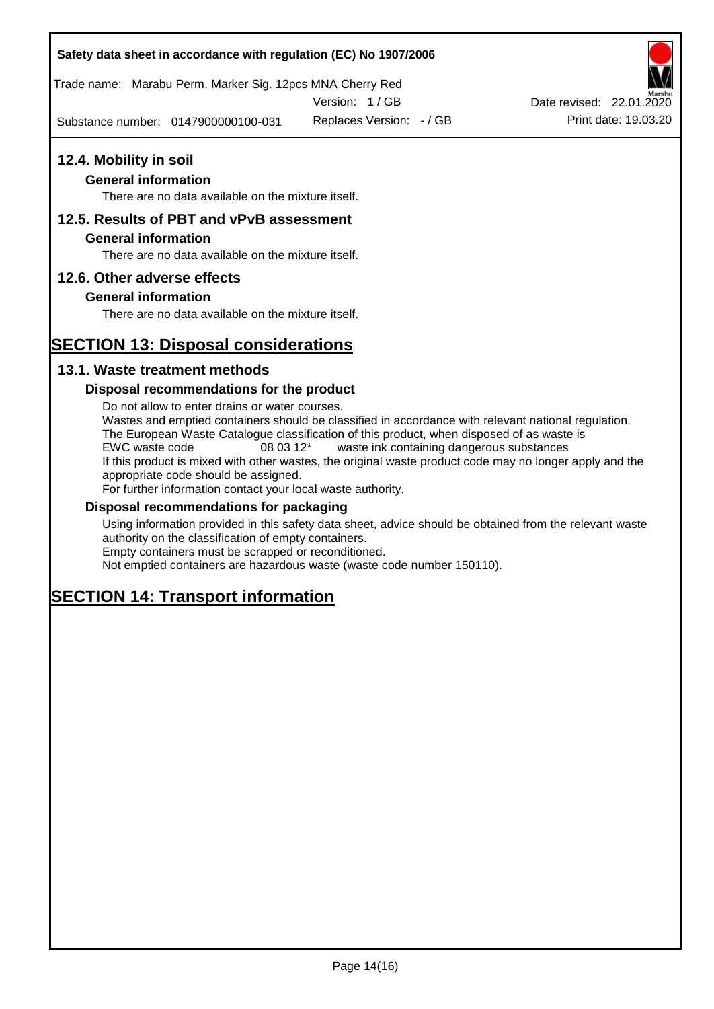Trade name: Marabu Perm. Marker Sig. 12pcs MNA Cherry Red

Version: 1 / GB

Substance number: 0147900000100-031 Replaces Version:  $-$  / GB Print date: 19.03.20

### **12.4. Mobility in soil**

### **General information**

There are no data available on the mixture itself.

### **12.5. Results of PBT and vPvB assessment**

#### **General information**

There are no data available on the mixture itself.

### **12.6. Other adverse effects**

### **General information**

There are no data available on the mixture itself.

# **SECTION 13: Disposal considerations**

### **13.1. Waste treatment methods**

#### **Disposal recommendations for the product**

Do not allow to enter drains or water courses. Wastes and emptied containers should be classified in accordance with relevant national regulation. The European Waste Catalogue classification of this product, when disposed of as waste is EWC waste code 08 03 12\* waste ink containing dangerous substances If this product is mixed with other wastes, the original waste product code may no longer apply and the appropriate code should be assigned. For further information contact your local waste authority.

### **Disposal recommendations for packaging**

Using information provided in this safety data sheet, advice should be obtained from the relevant waste authority on the classification of empty containers. Empty containers must be scrapped or reconditioned.

Not emptied containers are hazardous waste (waste code number 150110).

# **SECTION 14: Transport information**

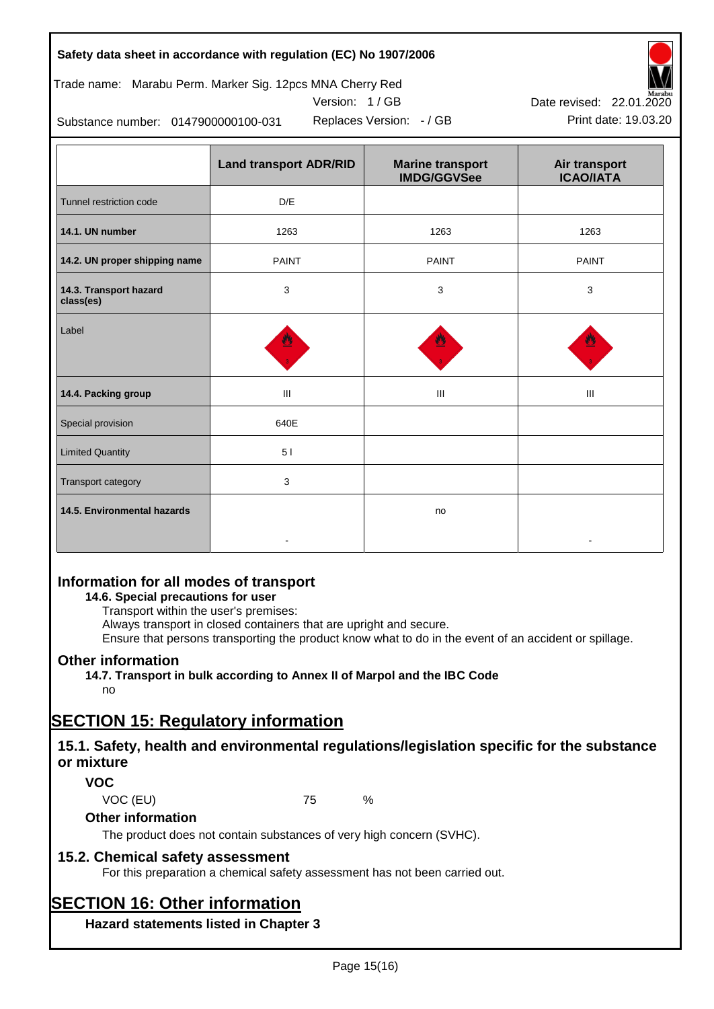|  |  |  | Safety data sheet in accordance with regulation (EC) No 1907/2006 |
|--|--|--|-------------------------------------------------------------------|
|--|--|--|-------------------------------------------------------------------|

Trade name: Marabu Perm. Marker Sig. 12pcs MNA Cherry Red

Version: 1 / GB



Replaces Version:  $-$  / GB Print date: 19.03.20 Date revised: 22.01.2020

Substance number: 0147900000100-031

|                                     | <b>Land transport ADR/RID</b> | <b>Marine transport</b><br><b>IMDG/GGVSee</b> | Air transport<br><b>ICAO/IATA</b> |
|-------------------------------------|-------------------------------|-----------------------------------------------|-----------------------------------|
| Tunnel restriction code             | D/E                           |                                               |                                   |
| 14.1. UN number                     | 1263                          | 1263                                          | 1263                              |
| 14.2. UN proper shipping name       | <b>PAINT</b>                  | <b>PAINT</b>                                  | <b>PAINT</b>                      |
| 14.3. Transport hazard<br>class(es) | 3                             | 3                                             | 3                                 |
| Label                               |                               |                                               |                                   |
| 14.4. Packing group                 | Ш                             | Ш                                             | Ш                                 |
| Special provision                   | 640E                          |                                               |                                   |
| <b>Limited Quantity</b>             | 51                            |                                               |                                   |
| Transport category                  | 3                             |                                               |                                   |
| 14.5. Environmental hazards         |                               | no                                            |                                   |

### **Information for all modes of transport**

### **14.6. Special precautions for user**

Transport within the user's premises:

Always transport in closed containers that are upright and secure.

Ensure that persons transporting the product know what to do in the event of an accident or spillage.

### **Other information**

**14.7. Transport in bulk according to Annex II of Marpol and the IBC Code** no

# **SECTION 15: Regulatory information**

### **15.1. Safety, health and environmental regulations/legislation specific for the substance or mixture**

### **VOC**

VOC (EU) 75 %

### **Other information**

The product does not contain substances of very high concern (SVHC).

### **15.2. Chemical safety assessment**

For this preparation a chemical safety assessment has not been carried out.

# **SECTION 16: Other information**

**Hazard statements listed in Chapter 3**